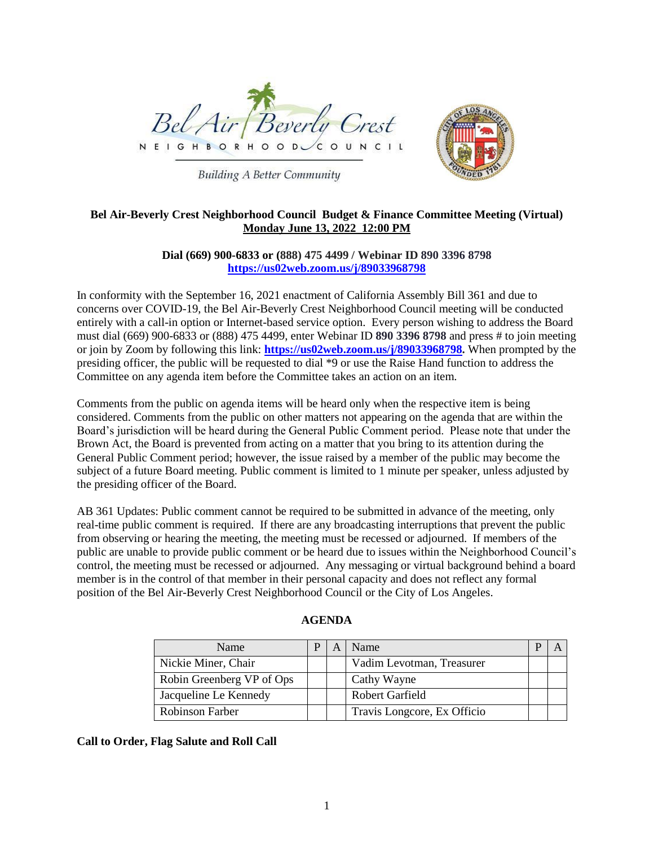

**Building A Better Community** 



# **Bel Air-Beverly Crest Neighborhood Council Budget & Finance Committee Meeting (Virtual) Monday June 13, 2022 12:00 PM**

**Dial (669) 900-6833 or (888) 475 4499 / Webinar ID 890 3396 8798 <https://us02web.zoom.us/j/89033968798>**

In conformity with the September 16, 2021 enactment of California Assembly Bill 361 and due to concerns over COVID-19, the Bel Air-Beverly Crest Neighborhood Council meeting will be conducted entirely with a call-in option or Internet-based service option. Every person wishing to address the Board must dial (669) 900-6833 or (888) 475 4499, enter Webinar ID **890 3396 8798** and press # to join meeting or join by Zoom by following this link: **[https://us02web.zoom.us/j/89033968798.](https://us02web.zoom.us/j/89033968798)** When prompted by the presiding officer, the public will be requested to dial \*9 or use the Raise Hand function to address the Committee on any agenda item before the Committee takes an action on an item.

Comments from the public on agenda items will be heard only when the respective item is being considered. Comments from the public on other matters not appearing on the agenda that are within the Board's jurisdiction will be heard during the General Public Comment period. Please note that under the Brown Act, the Board is prevented from acting on a matter that you bring to its attention during the General Public Comment period; however, the issue raised by a member of the public may become the subject of a future Board meeting. Public comment is limited to 1 minute per speaker, unless adjusted by the presiding officer of the Board.

AB 361 Updates: Public comment cannot be required to be submitted in advance of the meeting, only real-time public comment is required. If there are any broadcasting interruptions that prevent the public from observing or hearing the meeting, the meeting must be recessed or adjourned. If members of the public are unable to provide public comment or be heard due to issues within the Neighborhood Council's control, the meeting must be recessed or adjourned. Any messaging or virtual background behind a board member is in the control of that member in their personal capacity and does not reflect any formal position of the Bel Air-Beverly Crest Neighborhood Council or the City of Los Angeles.

| Name                      |  | Name                        |  |
|---------------------------|--|-----------------------------|--|
| Nickie Miner, Chair       |  | Vadim Levotman, Treasurer   |  |
| Robin Greenberg VP of Ops |  | Cathy Wayne                 |  |
| Jacqueline Le Kennedy     |  | Robert Garfield             |  |
| Robinson Farber           |  | Travis Longcore, Ex Officio |  |

#### **AGENDA**

**Call to Order, Flag Salute and Roll Call**